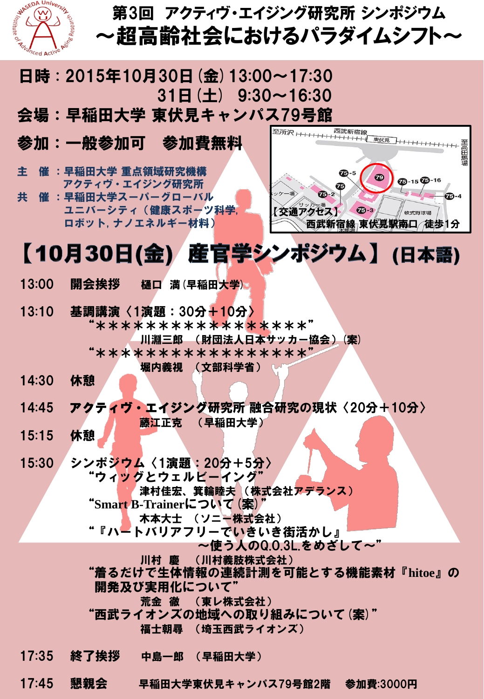

## 第3回 アクティヴ・エイジング研究所 シンポジウム ~超高齢社会におけるパラダイムシフト~

## 日時 : 2015年10月30日(金)13:00~17:30  $31H(\pm)$  9:30~16:30 会場:早稲田大学 東伏見キャンパス79号館

- 参加:一般参加可 参加費無料
- 主 催 :早稲田大学 重点領域研究機構 アクティヴ・エイジング研究所
- 共 催 :早稲田大学スーパーグローバル ユニバーシティ(健康スポーツ科学, ロボット, ナノエネルギー材料)



## 【10月30日(金)】 産官学シンポジウム】 (日本語)

- 13:00 開会挨拶 樋口 満(早稲田大学)。
- 13:10 基調講演〈1演題:30分+10分〉 "\*\*\*\*\*\*\*\*\*\*\*\*\*\*\*\*"

 川淵三郎 (財団法人日本サッカー協会)(案) "\*\*\*\*\*\*\*\*\*\*\*\*\*\*\*\*\*"

堀内義視 (文部科学省)

- 14:30 休憩
- 14:45 アクティヴ・エイジング研究所 融合研究の現状〈20分+10分〉

藤江正克 (早稲田大学)

- 15:15 休憩
- 15:30 シンポジウム〈1演題:20分+5分〉 "ウィッグとウェルビーイング"

 津村佳宏、箕輪睦夫 (株式会社アデランス) "**Smart B-Trainer**について(案)"

木本大士 (ソニー株式会社)

- "『ハートバリアフリーで<mark>い</mark>きいき街活かし』
	- ~使う人のQ.O.3L.をめざして~"

川村 慶 (川村義肢株式会社)

 "着るだけで生体情報の連続計測を可能とする機能素材『**hitoe**』の 開発及び実用化について"

荒金 徹 (東レ株式会社)

"西武ライオンズの地域への取り組みについて(案)"

福士朝尋 (埼玉西武ライオンズ)

- 17:35 終了挨拶 中島一郎 (早稲田大学)
- 17:45 懇親会 早稲田大学東伏見キャンパス79号館2階 参加費:3000円